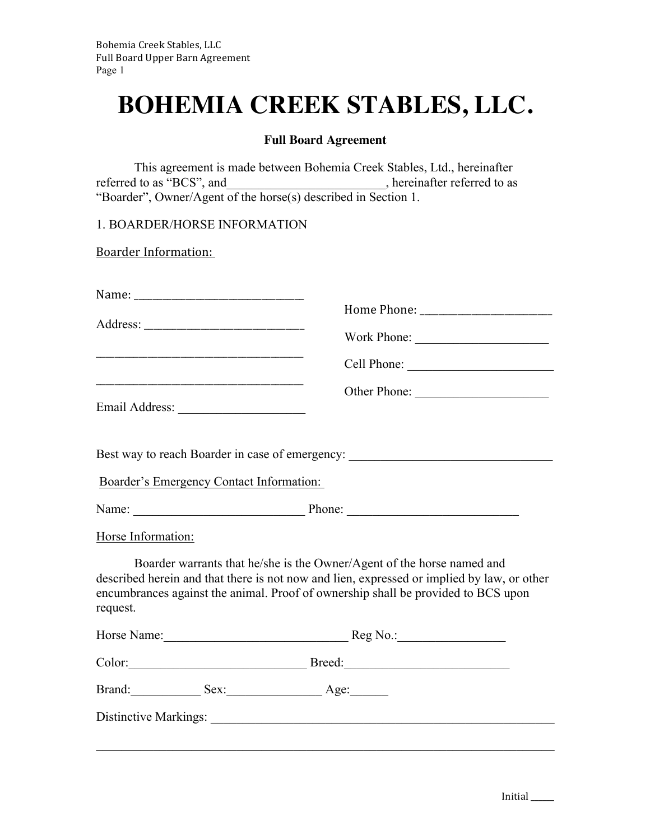## **BOHEMIA CREEK STABLES, LLC.**

## **Full Board Agreement**

This agreement is made between Bohemia Creek Stables, Ltd., hereinafter referred to as "BCS", and \_\_\_\_\_\_\_\_\_\_\_\_\_\_\_\_\_\_\_\_, hereinafter referred to as "Boarder", Owner/Agent of the horse(s) described in Section 1.

1. BOARDER/HORSE INFORMATION

**Boarder Information:** 

|                    |                                          | Best way to reach Boarder in case of emergency: ________________________________                                                                                                                                                                          |  |
|--------------------|------------------------------------------|-----------------------------------------------------------------------------------------------------------------------------------------------------------------------------------------------------------------------------------------------------------|--|
|                    | Boarder's Emergency Contact Information: |                                                                                                                                                                                                                                                           |  |
|                    |                                          |                                                                                                                                                                                                                                                           |  |
| Horse Information: |                                          |                                                                                                                                                                                                                                                           |  |
| request.           |                                          | Boarder warrants that he/she is the Owner/Agent of the horse named and<br>described herein and that there is not now and lien, expressed or implied by law, or other<br>encumbrances against the animal. Proof of ownership shall be provided to BCS upon |  |
|                    |                                          | Horse Name: Reg No.: Reg No.:                                                                                                                                                                                                                             |  |
|                    |                                          | Color: Breed: Breed:                                                                                                                                                                                                                                      |  |
|                    |                                          | Brand: Sex: Age:                                                                                                                                                                                                                                          |  |
|                    |                                          |                                                                                                                                                                                                                                                           |  |
|                    |                                          |                                                                                                                                                                                                                                                           |  |
|                    |                                          |                                                                                                                                                                                                                                                           |  |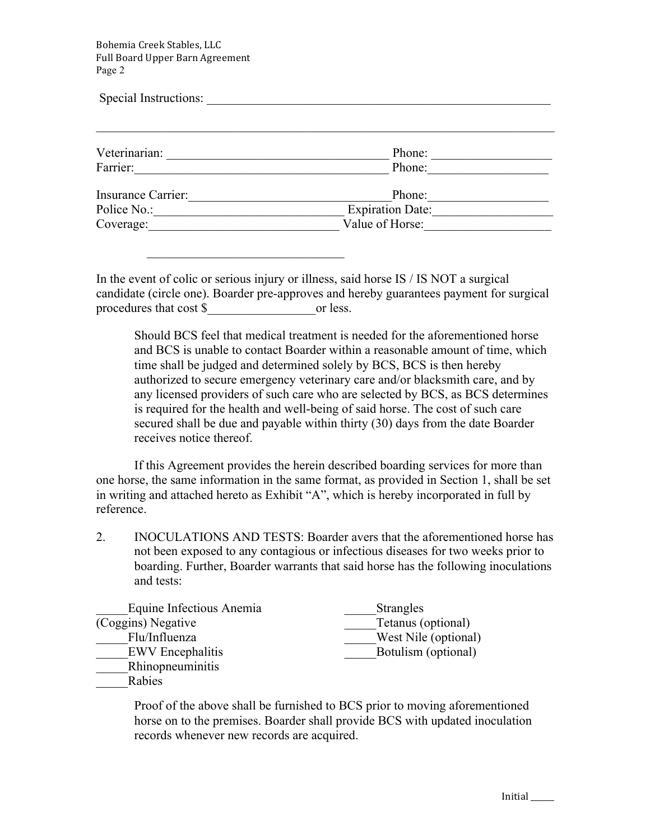Bohemia Creek Stables, LLC Full Board Upper Barn Agreement Page 2

 $\mathcal{L}_\text{max} = \frac{1}{2} \sum_{i=1}^{n} \frac{1}{2} \sum_{i=1}^{n} \frac{1}{2} \sum_{i=1}^{n} \frac{1}{2} \sum_{i=1}^{n} \frac{1}{2} \sum_{i=1}^{n} \frac{1}{2} \sum_{i=1}^{n} \frac{1}{2} \sum_{i=1}^{n} \frac{1}{2} \sum_{i=1}^{n} \frac{1}{2} \sum_{i=1}^{n} \frac{1}{2} \sum_{i=1}^{n} \frac{1}{2} \sum_{i=1}^{n} \frac{1}{2} \sum_{i=1}^{n} \frac{1$ 

| Special Instructions: |                  |  |  |  |
|-----------------------|------------------|--|--|--|
| Veterinarian:         | Phone:           |  |  |  |
| Farrier:              | Phone:           |  |  |  |
| Insurance Carrier:    | Phone:           |  |  |  |
| Police No.:           | Expiration Date: |  |  |  |
| Coverage:             | Value of Horse:  |  |  |  |

In the event of colic or serious injury or illness, said horse IS / IS NOT a surgical candidate (circle one). Boarder pre-approves and hereby guarantees payment for surgical procedures that cost \$\_\_\_\_\_\_\_\_\_\_\_\_\_\_\_\_\_or less.

Should BCS feel that medical treatment is needed for the aforementioned horse and BCS is unable to contact Boarder within a reasonable amount of time, which time shall be judged and determined solely by BCS, BCS is then hereby authorized to secure emergency veterinary care and/or blacksmith care, and by any licensed providers of such care who are selected by BCS, as BCS determines is required for the health and well-being of said horse. The cost of such care secured shall be due and payable within thirty (30) days from the date Boarder receives notice thereof.

If this Agreement provides the herein described boarding services for more than one horse, the same information in the same format, as provided in Section 1, shall be set in writing and attached hereto as Exhibit "A", which is hereby incorporated in full by reference.

2. INOCULATIONS AND TESTS: Boarder avers that the aforementioned horse has not been exposed to any contagious or infectious diseases for two weeks prior to boarding. Further, Boarder warrants that said horse has the following inoculations and tests:

| Equine Infectious Anemia | <b>Strangles</b>     |
|--------------------------|----------------------|
| (Coggins) Negative       | Tetanus (optional)   |
| Flu/Influenza            | West Nile (optional) |
| <b>EWV</b> Encephalitis  | Botulism (optional)  |
| Rhinopneuminitis         |                      |
| Rabies                   |                      |

Proof of the above shall be furnished to BCS prior to moving aforementioned horse on to the premises. Boarder shall provide BCS with updated inoculation records whenever new records are acquired.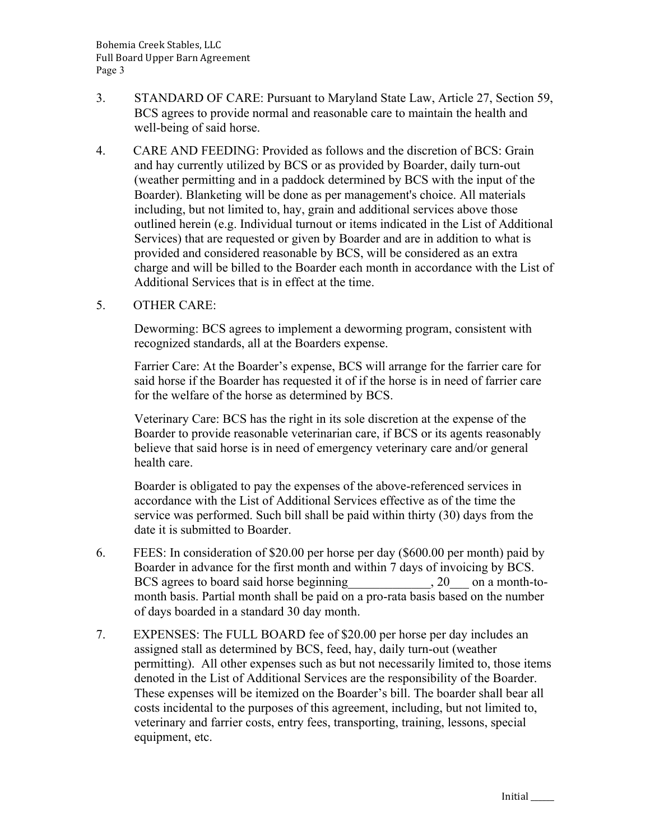- 3. STANDARD OF CARE: Pursuant to Maryland State Law, Article 27, Section 59, BCS agrees to provide normal and reasonable care to maintain the health and well-being of said horse.
- 4. CARE AND FEEDING: Provided as follows and the discretion of BCS: Grain and hay currently utilized by BCS or as provided by Boarder, daily turn-out (weather permitting and in a paddock determined by BCS with the input of the Boarder). Blanketing will be done as per management's choice. All materials including, but not limited to, hay, grain and additional services above those outlined herein (e.g. Individual turnout or items indicated in the List of Additional Services) that are requested or given by Boarder and are in addition to what is provided and considered reasonable by BCS, will be considered as an extra charge and will be billed to the Boarder each month in accordance with the List of Additional Services that is in effect at the time.
- 5. OTHER CARE:

Deworming: BCS agrees to implement a deworming program, consistent with recognized standards, all at the Boarders expense.

Farrier Care: At the Boarder's expense, BCS will arrange for the farrier care for said horse if the Boarder has requested it of if the horse is in need of farrier care for the welfare of the horse as determined by BCS.

Veterinary Care: BCS has the right in its sole discretion at the expense of the Boarder to provide reasonable veterinarian care, if BCS or its agents reasonably believe that said horse is in need of emergency veterinary care and/or general health care.

Boarder is obligated to pay the expenses of the above-referenced services in accordance with the List of Additional Services effective as of the time the service was performed. Such bill shall be paid within thirty (30) days from the date it is submitted to Boarder.

- 6. FEES: In consideration of \$20.00 per horse per day (\$600.00 per month) paid by Boarder in advance for the first month and within 7 days of invoicing by BCS. BCS agrees to board said horse beginning 20 on a month-tomonth basis. Partial month shall be paid on a pro-rata basis based on the number of days boarded in a standard 30 day month.
- 7. EXPENSES: The FULL BOARD fee of \$20.00 per horse per day includes an assigned stall as determined by BCS, feed, hay, daily turn-out (weather permitting). All other expenses such as but not necessarily limited to, those items denoted in the List of Additional Services are the responsibility of the Boarder. These expenses will be itemized on the Boarder's bill. The boarder shall bear all costs incidental to the purposes of this agreement, including, but not limited to, veterinary and farrier costs, entry fees, transporting, training, lessons, special equipment, etc.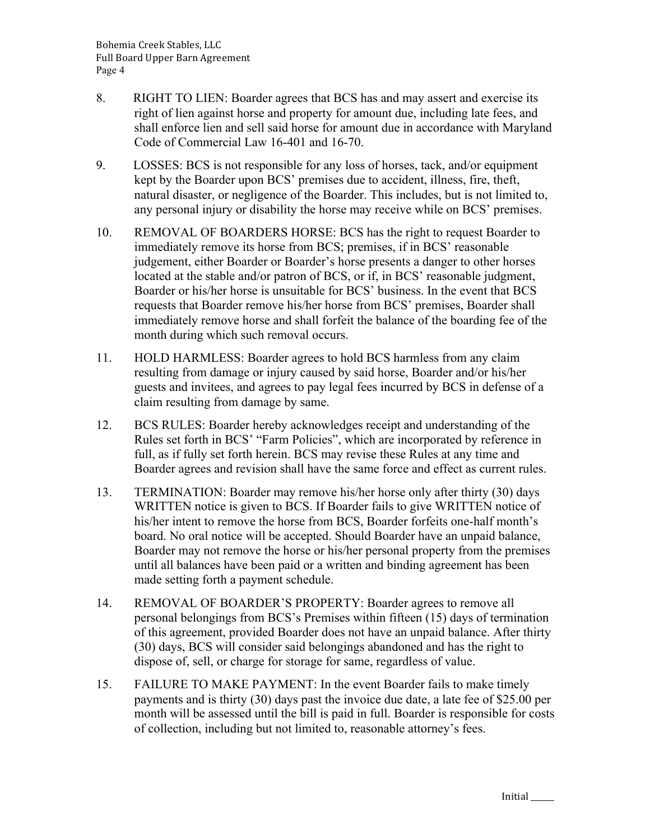- 8. RIGHT TO LIEN: Boarder agrees that BCS has and may assert and exercise its right of lien against horse and property for amount due, including late fees, and shall enforce lien and sell said horse for amount due in accordance with Maryland Code of Commercial Law 16-401 and 16-70.
- 9. LOSSES: BCS is not responsible for any loss of horses, tack, and/or equipment kept by the Boarder upon BCS' premises due to accident, illness, fire, theft, natural disaster, or negligence of the Boarder. This includes, but is not limited to, any personal injury or disability the horse may receive while on BCS' premises.
- 10. REMOVAL OF BOARDERS HORSE: BCS has the right to request Boarder to immediately remove its horse from BCS; premises, if in BCS' reasonable judgement, either Boarder or Boarder's horse presents a danger to other horses located at the stable and/or patron of BCS, or if, in BCS' reasonable judgment, Boarder or his/her horse is unsuitable for BCS' business. In the event that BCS requests that Boarder remove his/her horse from BCS' premises, Boarder shall immediately remove horse and shall forfeit the balance of the boarding fee of the month during which such removal occurs.
- 11. HOLD HARMLESS: Boarder agrees to hold BCS harmless from any claim resulting from damage or injury caused by said horse, Boarder and/or his/her guests and invitees, and agrees to pay legal fees incurred by BCS in defense of a claim resulting from damage by same.
- 12. BCS RULES: Boarder hereby acknowledges receipt and understanding of the Rules set forth in BCS' "Farm Policies", which are incorporated by reference in full, as if fully set forth herein. BCS may revise these Rules at any time and Boarder agrees and revision shall have the same force and effect as current rules.
- 13. TERMINATION: Boarder may remove his/her horse only after thirty (30) days WRITTEN notice is given to BCS. If Boarder fails to give WRITTEN notice of his/her intent to remove the horse from BCS, Boarder forfeits one-half month's board. No oral notice will be accepted. Should Boarder have an unpaid balance, Boarder may not remove the horse or his/her personal property from the premises until all balances have been paid or a written and binding agreement has been made setting forth a payment schedule.
- 14. REMOVAL OF BOARDER'S PROPERTY: Boarder agrees to remove all personal belongings from BCS's Premises within fifteen (15) days of termination of this agreement, provided Boarder does not have an unpaid balance. After thirty (30) days, BCS will consider said belongings abandoned and has the right to dispose of, sell, or charge for storage for same, regardless of value.
- 15. FAILURE TO MAKE PAYMENT: In the event Boarder fails to make timely payments and is thirty (30) days past the invoice due date, a late fee of \$25.00 per month will be assessed until the bill is paid in full. Boarder is responsible for costs of collection, including but not limited to, reasonable attorney's fees.